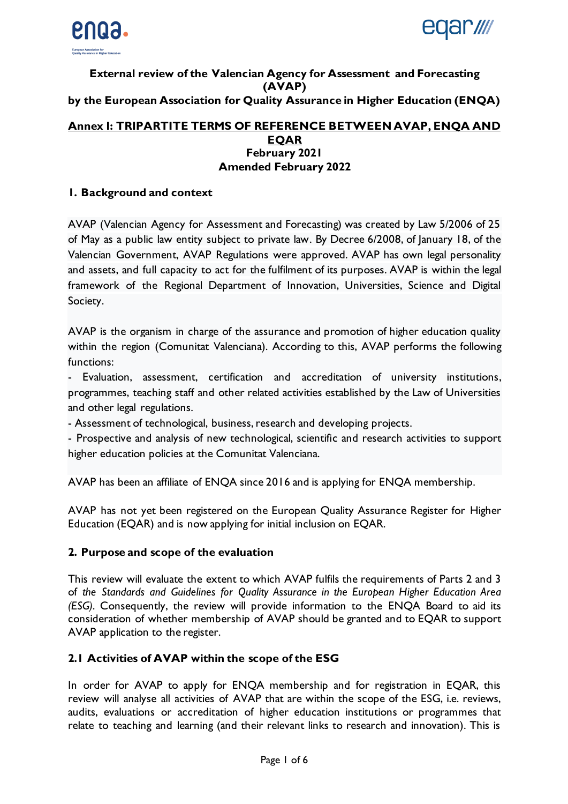



## **External review of the Valencian Agency for Assessment and Forecasting (AVAP) by the European Association for Quality Assurance in Higher Education (ENQA)**

### **Annex I: TRIPARTITE TERMS OF REFERENCE BETWEEN AVAP, ENQA AND EQAR February 2021 Amended February 2022**

### **1. Background and context**

AVAP (Valencian Agency for Assessment and Forecasting) was created by Law 5/2006 of 25 of May as a public law entity subject to private law. By Decree 6/2008, of January 18, of the Valencian Government, AVAP Regulations were approved. AVAP has own legal personality and assets, and full capacity to act for the fulfilment of its purposes. AVAP is within the legal framework of the Regional Department of Innovation, Universities, Science and Digital Society.

AVAP is the organism in charge of the assurance and promotion of higher education quality within the region (Comunitat Valenciana). According to this, AVAP performs the following functions:

- Evaluation, assessment, certification and accreditation of university institutions, programmes, teaching staff and other related activities established by the Law of Universities and other legal regulations.

- Assessment of technological, business, research and developing projects.

- Prospective and analysis of new technological, scientific and research activities to support higher education policies at the Comunitat Valenciana.

AVAP has been an affiliate of ENQA since 2016 and is applying for ENQA membership.

AVAP has not yet been registered on the European Quality Assurance Register for Higher Education (EQAR) and is now applying for initial inclusion on EQAR.

#### **2. Purpose and scope of the evaluation**

This review will evaluate the extent to which AVAP fulfils the requirements of Parts 2 and 3 of *the Standards and Guidelines for Quality Assurance in the European Higher Education Area (ESG)*. Consequently, the review will provide information to the ENQA Board to aid its consideration of whether membership of AVAP should be granted and to EQAR to support AVAP application to the register.

## **2.1 Activities of AVAP within the scope of the ESG**

In order for AVAP to apply for ENQA membership and for registration in EQAR, this review will analyse all activities of AVAP that are within the scope of the ESG, i.e. reviews, audits, evaluations or accreditation of higher education institutions or programmes that relate to teaching and learning (and their relevant links to research and innovation). This is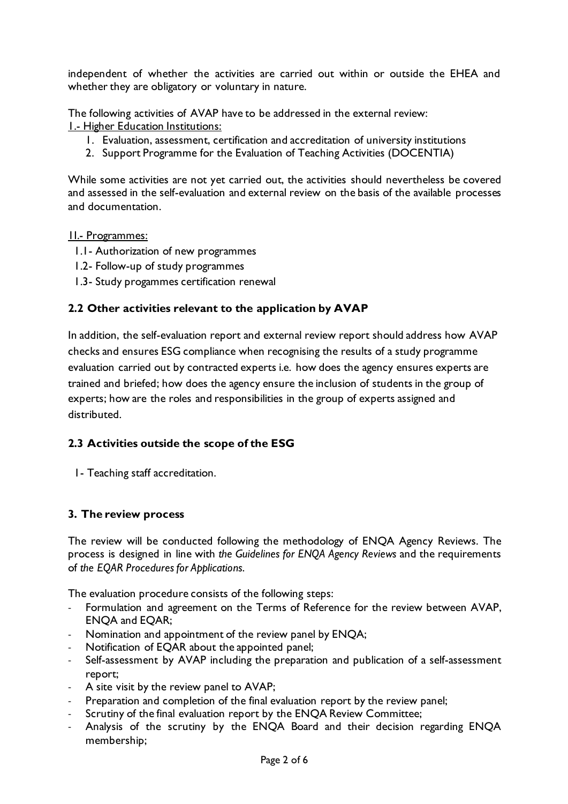independent of whether the activities are carried out within or outside the EHEA and whether they are obligatory or voluntary in nature.

The following activities of AVAP have to be addressed in the external review: 1.- Higher Education Institutions:

- 1. Evaluation, assessment, certification and accreditation of university institutions
- 2. Support Programme for the Evaluation of Teaching Activities (DOCENTIA)

While some activities are not yet carried out, the activities should nevertheless be covered and assessed in the self-evaluation and external review on the basis of the available processes and documentation.

#### 1I.- Programmes:

- 1.1- Authorization of new programmes
- 1.2- Follow-up of study programmes
- 1.3- Study progammes certification renewal

## **2.2 Other activities relevant to the application by AVAP**

In addition, the self-evaluation report and external review report should address how AVAP checks and ensures ESG compliance when recognising the results of a study programme evaluation carried out by contracted experts i.e. how does the agency ensures experts are trained and briefed; how does the agency ensure the inclusion of students in the group of experts; how are the roles and responsibilities in the group of experts assigned and distributed.

## **2.3 Activities outside the scope of the ESG**

1- Teaching staff accreditation.

#### **3. The review process**

The review will be conducted following the methodology of ENQA Agency Reviews. The process is designed in line with *the Guidelines for ENQA Agency Reviews* and the requirements of *the EQAR Procedures for Applications*.

The evaluation procedure consists of the following steps:

- Formulation and agreement on the Terms of Reference for the review between AVAP, ENQA and EQAR;
- Nomination and appointment of the review panel by ENQA;
- Notification of EQAR about the appointed panel;
- Self-assessment by AVAP including the preparation and publication of a self-assessment report;
- A site visit by the review panel to AVAP;
- Preparation and completion of the final evaluation report by the review panel;
- Scrutiny of the final evaluation report by the ENQA Review Committee;
- Analysis of the scrutiny by the ENQA Board and their decision regarding ENQA membership;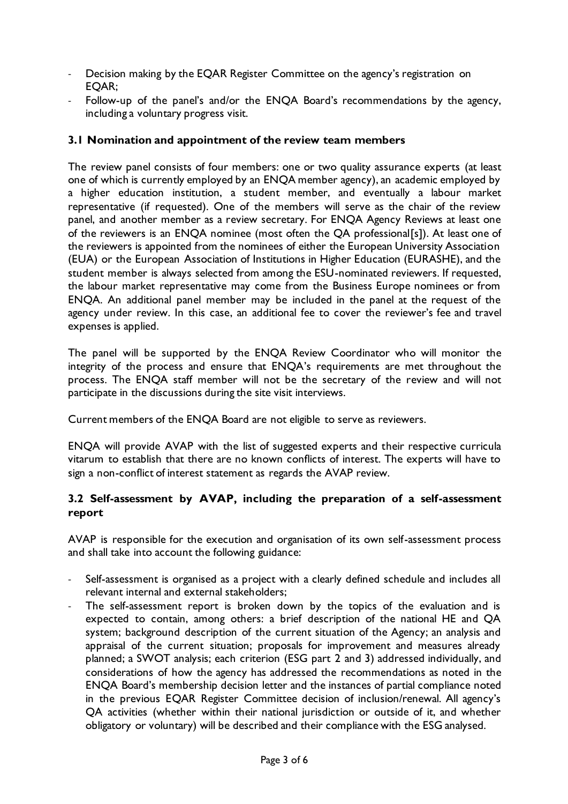- Decision making by the EQAR Register Committee on the agency's registration on EQAR;
- Follow-up of the panel's and/or the ENQA Board's recommendations by the agency, including a voluntary progress visit.

## **3.1 Nomination and appointment of the review team members**

The review panel consists of four members: one or two quality assurance experts (at least one of which is currently employed by an ENQA member agency), an academic employed by a higher education institution, a student member, and eventually a labour market representative (if requested). One of the members will serve as the chair of the review panel, and another member as a review secretary. For ENQA Agency Reviews at least one of the reviewers is an ENQA nominee (most often the QA professional[s]). At least one of the reviewers is appointed from the nominees of either the European University Association (EUA) or the European Association of Institutions in Higher Education (EURASHE), and the student member is always selected from among the ESU-nominated reviewers. If requested, the labour market representative may come from the Business Europe nominees or from ENQA. An additional panel member may be included in the panel at the request of the agency under review. In this case, an additional fee to cover the reviewer's fee and travel expenses is applied.

The panel will be supported by the ENQA Review Coordinator who will monitor the integrity of the process and ensure that ENQA's requirements are met throughout the process. The ENQA staff member will not be the secretary of the review and will not participate in the discussions during the site visit interviews.

Current members of the ENQA Board are not eligible to serve as reviewers.

ENQA will provide AVAP with the list of suggested experts and their respective curricula vitarum to establish that there are no known conflicts of interest. The experts will have to sign a non-conflict of interest statement as regards the AVAP review.

## **3.2 Self-assessment by AVAP, including the preparation of a self-assessment report**

AVAP is responsible for the execution and organisation of its own self-assessment process and shall take into account the following guidance:

- Self-assessment is organised as a project with a clearly defined schedule and includes all relevant internal and external stakeholders;
- The self-assessment report is broken down by the topics of the evaluation and is expected to contain, among others: a brief description of the national HE and QA system; background description of the current situation of the Agency; an analysis and appraisal of the current situation; proposals for improvement and measures already planned; a SWOT analysis; each criterion (ESG part 2 and 3) addressed individually, and considerations of how the agency has addressed the recommendations as noted in the ENQA Board's membership decision letter and the instances of partial compliance noted in the previous EQAR Register Committee decision of inclusion/renewal. All agency's QA activities (whether within their national jurisdiction or outside of it, and whether obligatory or voluntary) will be described and their compliance with the ESG analysed.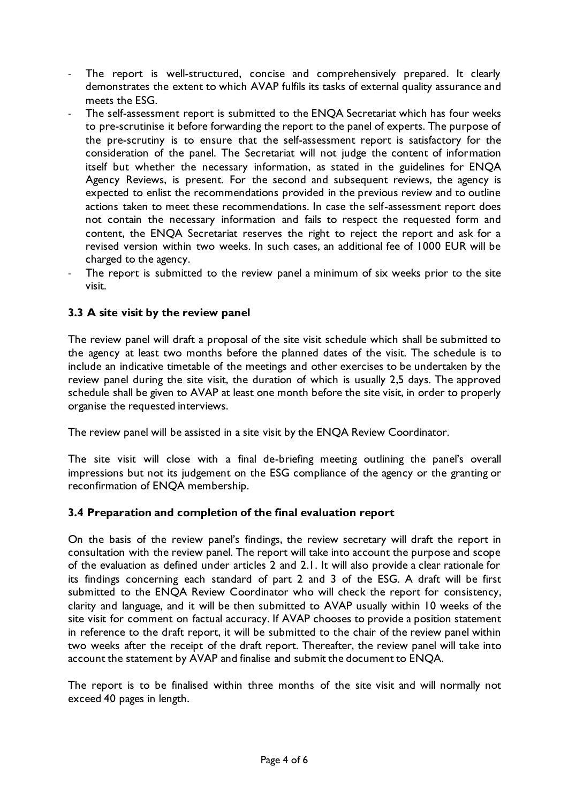- The report is well-structured, concise and comprehensively prepared. It clearly demonstrates the extent to which AVAP fulfils its tasks of external quality assurance and meets the ESG.
- The self-assessment report is submitted to the ENQA Secretariat which has four weeks to pre-scrutinise it before forwarding the report to the panel of experts. The purpose of the pre-scrutiny is to ensure that the self-assessment report is satisfactory for the consideration of the panel. The Secretariat will not judge the content of information itself but whether the necessary information, as stated in the guidelines for ENQA Agency Reviews, is present. For the second and subsequent reviews, the agency is expected to enlist the recommendations provided in the previous review and to outline actions taken to meet these recommendations. In case the self-assessment report does not contain the necessary information and fails to respect the requested form and content, the ENQA Secretariat reserves the right to reject the report and ask for a revised version within two weeks. In such cases, an additional fee of 1000 EUR will be charged to the agency.
- The report is submitted to the review panel a minimum of six weeks prior to the site visit.

## **3.3 A site visit by the review panel**

The review panel will draft a proposal of the site visit schedule which shall be submitted to the agency at least two months before the planned dates of the visit. The schedule is to include an indicative timetable of the meetings and other exercises to be undertaken by the review panel during the site visit, the duration of which is usually 2,5 days. The approved schedule shall be given to AVAP at least one month before the site visit, in order to properly organise the requested interviews.

The review panel will be assisted in a site visit by the ENQA Review Coordinator.

The site visit will close with a final de-briefing meeting outlining the panel's overall impressions but not its judgement on the ESG compliance of the agency or the granting or reconfirmation of ENQA membership.

## **3.4 Preparation and completion of the final evaluation report**

On the basis of the review panel's findings, the review secretary will draft the report in consultation with the review panel. The report will take into account the purpose and scope of the evaluation as defined under articles 2 and 2.1. It will also provide a clear rationale for its findings concerning each standard of part 2 and 3 of the ESG. A draft will be first submitted to the ENQA Review Coordinator who will check the report for consistency, clarity and language, and it will be then submitted to AVAP usually within 10 weeks of the site visit for comment on factual accuracy. If AVAP chooses to provide a position statement in reference to the draft report, it will be submitted to the chair of the review panel within two weeks after the receipt of the draft report. Thereafter, the review panel will take into account the statement by AVAP and finalise and submit the document to ENQA.

The report is to be finalised within three months of the site visit and will normally not exceed 40 pages in length.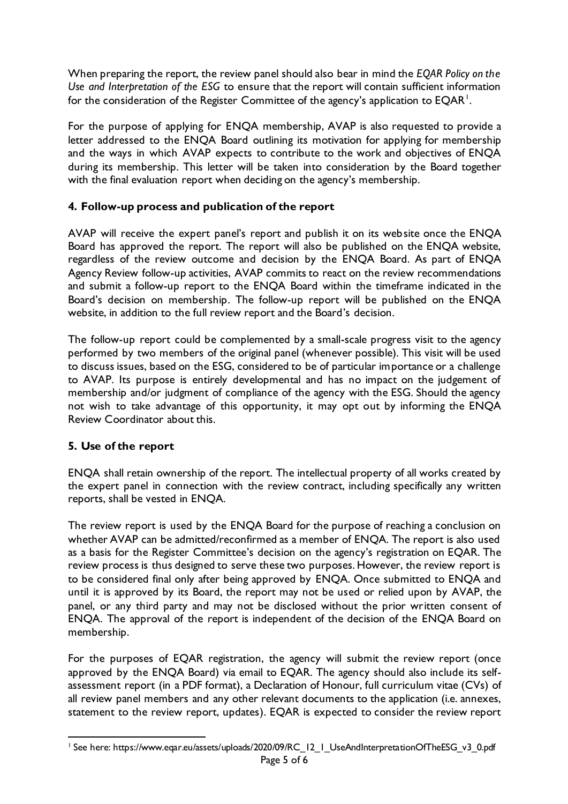When preparing the report, the review panel should also bear in mind the *EQAR Policy on the Use and Interpretation of the ESG* to ensure that the report will contain sufficient information for the consideration of the Register Committee of the agency's application to EQAR  $^{\mathsf{l}}$ .

For the purpose of applying for ENQA membership, AVAP is also requested to provide a letter addressed to the ENQA Board outlining its motivation for applying for membership and the ways in which AVAP expects to contribute to the work and objectives of ENQA during its membership. This letter will be taken into consideration by the Board together with the final evaluation report when deciding on the agency's membership.

## **4. Follow-up process and publication of the report**

AVAP will receive the expert panel's report and publish it on its website once the ENQA Board has approved the report. The report will also be published on the ENQA website, regardless of the review outcome and decision by the ENQA Board. As part of ENQA Agency Review follow-up activities, AVAP commits to react on the review recommendations and submit a follow-up report to the ENQA Board within the timeframe indicated in the Board's decision on membership. The follow-up report will be published on the ENQA website, in addition to the full review report and the Board's decision.

The follow-up report could be complemented by a small-scale progress visit to the agency performed by two members of the original panel (whenever possible). This visit will be used to discuss issues, based on the ESG, considered to be of particular importance or a challenge to AVAP. Its purpose is entirely developmental and has no impact on the judgement of membership and/or judgment of compliance of the agency with the ESG. Should the agency not wish to take advantage of this opportunity, it may opt out by informing the ENQA Review Coordinator about this.

## **5. Use of the report**

ENQA shall retain ownership of the report. The intellectual property of all works created by the expert panel in connection with the review contract, including specifically any written reports, shall be vested in ENQA.

The review report is used by the ENQA Board for the purpose of reaching a conclusion on whether AVAP can be admitted/reconfirmed as a member of ENQA. The report is also used as a basis for the Register Committee's decision on the agency's registration on EQAR. The review process is thus designed to serve these two purposes. However, the review report is to be considered final only after being approved by ENQA. Once submitted to ENQA and until it is approved by its Board, the report may not be used or relied upon by AVAP, the panel, or any third party and may not be disclosed without the prior written consent of ENQA. The approval of the report is independent of the decision of the ENQA Board on membership.

For the purposes of EQAR registration, the agency will submit the review report (once approved by the ENQA Board) via email to EQAR. The agency should also include its selfassessment report (in a PDF format), a Declaration of Honour, full curriculum vitae (CVs) of all review panel members and any other relevant documents to the application (i.e. annexes, statement to the review report, updates). EQAR is expected to consider the review report

<sup>&</sup>lt;sup>1</sup> See here: https://www.eqar.eu/assets/uploads/2020/09/RC\_12\_1\_UseAndInterpretationOfTheESG\_v3\_0.pdf